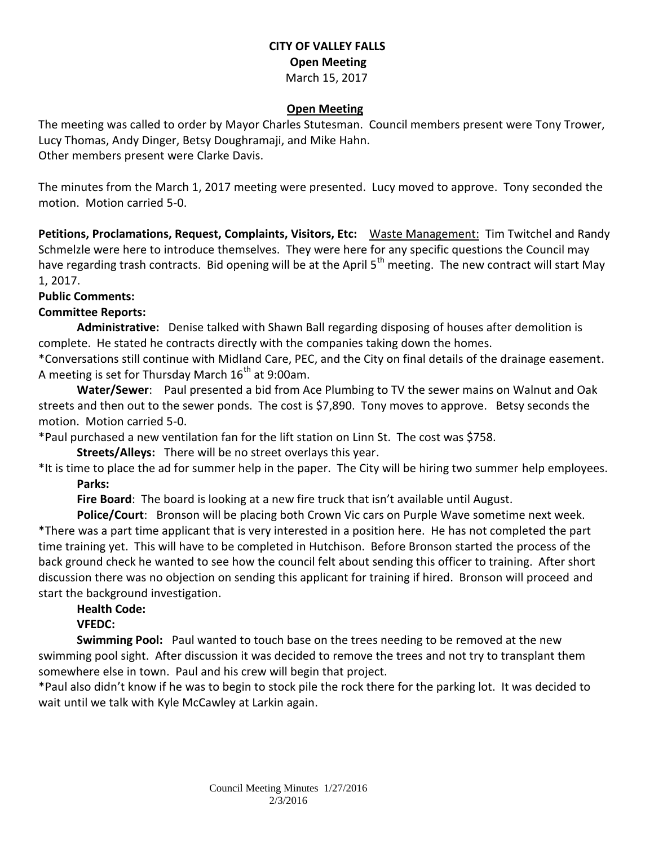### **CITY OF VALLEY FALLS Open Meeting** March 15, 2017

#### **Open Meeting**

The meeting was called to order by Mayor Charles Stutesman. Council members present were Tony Trower, Lucy Thomas, Andy Dinger, Betsy Doughramaji, and Mike Hahn. Other members present were Clarke Davis.

The minutes from the March 1, 2017 meeting were presented. Lucy moved to approve. Tony seconded the motion. Motion carried 5-0.

**Petitions, Proclamations, Request, Complaints, Visitors, Etc:** Waste Management: Tim Twitchel and Randy Schmelzle were here to introduce themselves. They were here for any specific questions the Council may have regarding trash contracts. Bid opening will be at the April  $5<sup>th</sup>$  meeting. The new contract will start May 1, 2017.

#### **Public Comments:**

### **Committee Reports:**

**Administrative:** Denise talked with Shawn Ball regarding disposing of houses after demolition is complete. He stated he contracts directly with the companies taking down the homes.

\*Conversations still continue with Midland Care, PEC, and the City on final details of the drainage easement. A meeting is set for Thursday March  $16<sup>th</sup>$  at 9:00am.

**Water/Sewer**: Paul presented a bid from Ace Plumbing to TV the sewer mains on Walnut and Oak streets and then out to the sewer ponds. The cost is \$7,890. Tony moves to approve. Betsy seconds the motion. Motion carried 5-0.

\*Paul purchased a new ventilation fan for the lift station on Linn St. The cost was \$758.

**Streets/Alleys:** There will be no street overlays this year.

\*It is time to place the ad for summer help in the paper. The City will be hiring two summer help employees. **Parks:** 

**Fire Board**: The board is looking at a new fire truck that isn't available until August.

**Police/Court**: Bronson will be placing both Crown Vic cars on Purple Wave sometime next week. \*There was a part time applicant that is very interested in a position here. He has not completed the part time training yet. This will have to be completed in Hutchison. Before Bronson started the process of the back ground check he wanted to see how the council felt about sending this officer to training. After short discussion there was no objection on sending this applicant for training if hired. Bronson will proceed and start the background investigation.

#### **Health Code:**

## **VFEDC:**

**Swimming Pool:** Paul wanted to touch base on the trees needing to be removed at the new swimming pool sight. After discussion it was decided to remove the trees and not try to transplant them somewhere else in town. Paul and his crew will begin that project.

\*Paul also didn't know if he was to begin to stock pile the rock there for the parking lot. It was decided to wait until we talk with Kyle McCawley at Larkin again.